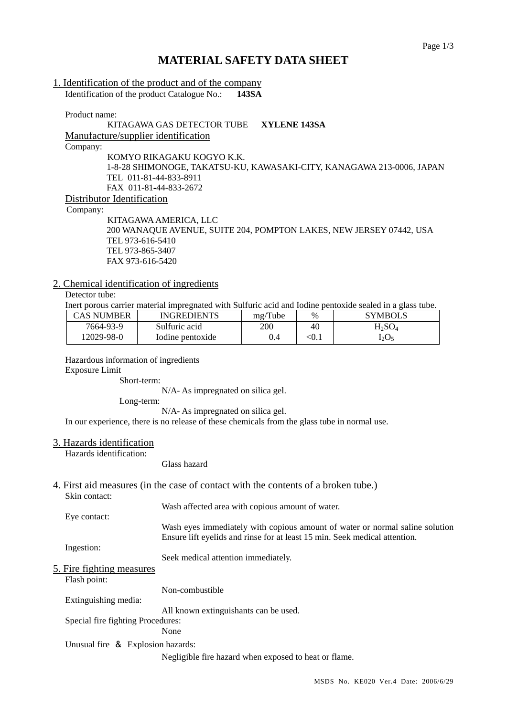# **MATERIAL SAFETY DATA SHEET**

| 1. Identification of the product and of the company                                                                                                                                                                                                                                              |  |  |  |
|--------------------------------------------------------------------------------------------------------------------------------------------------------------------------------------------------------------------------------------------------------------------------------------------------|--|--|--|
| $\mathbf{I}$ and $\mathbf{I}$ and $\mathbf{I}$ and $\mathbf{I}$ and $\mathbf{I}$ and $\mathbf{I}$ and $\mathbf{I}$ and $\mathbf{I}$ and $\mathbf{I}$ and $\mathbf{I}$ and $\mathbf{I}$ and $\mathbf{I}$ and $\mathbf{I}$ and $\mathbf{I}$ and $\mathbf{I}$ and $\mathbf{I}$ and $\mathbf{I}$ and |  |  |  |

Identification of the product Catalogue No.: **143SA**

Product name:

## KITAGAWA GAS DETECTOR TUBE **XYLENE 143SA** Manufacture/supplier identification Company: KOMYO RIKAGAKU KOGYO K.K. 1-8-28 SHIMONOGE, TAKATSU-KU, KAWASAKI-CITY, KANAGAWA 213-0006, JAPAN TEL 011-81-44-833-8911 FAX 011-81-44-833-2672 Distributor Identification

Company:

KITAGAWA AMERICA, LLC 200 WANAQUE AVENUE, SUITE 204, POMPTON LAKES, NEW JERSEY 07442, USA TEL 973-616-5410 TEL 973-865-3407 FAX 973-616-5420

## 2. Chemical identification of ingredients

Detector tube:

Inert porous carrier material impregnated with Sulfuric acid and Iodine pentoxide sealed in a glass tube.

| CAS NUMBER | <b>INGREDIENTS</b> | mg/Tube | $\%$       | <b>SYMBOLS</b> |
|------------|--------------------|---------|------------|----------------|
| 7664-93-9  | Sulfuric acid      | 200     | 40         | $H_2SO_4$      |
| 12029-98-0 | Iodine pentoxide   |         | $\leq 0.1$ | $1.0\sigma$    |

Hazardous information of ingredients

Exposure Limit

Short-term:

N/A- As impregnated on silica gel.

Long-term:

N/A- As impregnated on silica gel.

In our experience, there is no release of these chemicals from the glass tube in normal use.

## 3. Hazards identification

Hazards identification:

Glass hazard

## 4. First aid measures (in the case of contact with the contents of a broken tube.)

| Skin contact:                     |                                                                              |
|-----------------------------------|------------------------------------------------------------------------------|
|                                   | Wash affected area with copious amount of water.                             |
| Eye contact:                      |                                                                              |
|                                   | Wash eyes immediately with copious amount of water or normal saline solution |
|                                   | Ensure lift eyelids and rinse for at least 15 min. Seek medical attention.   |
| Ingestion:                        |                                                                              |
|                                   | Seek medical attention immediately.                                          |
| 5. Fire fighting measures         |                                                                              |
| Flash point:                      |                                                                              |
|                                   | Non-combustible                                                              |
| Extinguishing media:              |                                                                              |
|                                   | All known extinguishants can be used.                                        |
| Special fire fighting Procedures: |                                                                              |
|                                   | None                                                                         |
| Unusual fire & Explosion hazards: |                                                                              |
|                                   | Negligible fire hazard when exposed to heat or flame.                        |
|                                   |                                                                              |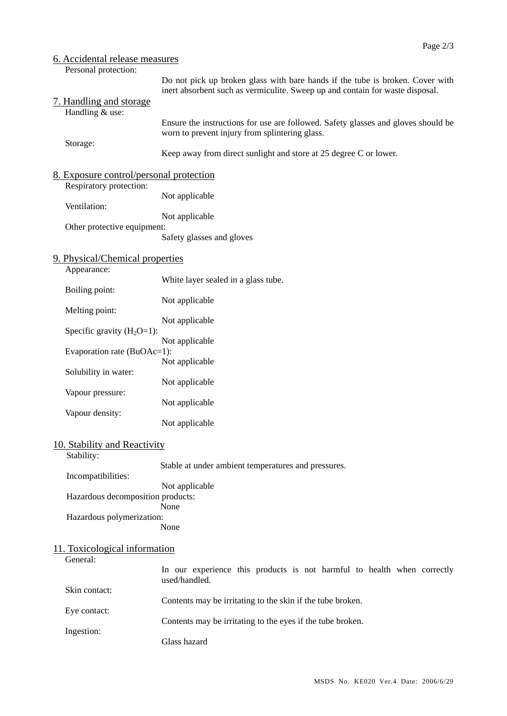| 6. Accidental release measures                                     |                                                                                                                                                                |
|--------------------------------------------------------------------|----------------------------------------------------------------------------------------------------------------------------------------------------------------|
| Personal protection:<br>7. Handling and storage<br>Handling & use: | Do not pick up broken glass with bare hands if the tube is broken. Cover with<br>inert absorbent such as vermiculite. Sweep up and contain for waste disposal. |
| Storage:                                                           | Ensure the instructions for use are followed. Safety glasses and gloves should be<br>worn to prevent injury from splintering glass.                            |
|                                                                    | Keep away from direct sunlight and store at 25 degree C or lower.                                                                                              |
| 8. Exposure control/personal protection<br>Respiratory protection: |                                                                                                                                                                |
| Ventilation:                                                       | Not applicable                                                                                                                                                 |
| Other protective equipment:                                        | Not applicable                                                                                                                                                 |
|                                                                    | Safety glasses and gloves                                                                                                                                      |
| 9. Physical/Chemical properties<br>Appearance:                     |                                                                                                                                                                |
| Boiling point:                                                     | White layer sealed in a glass tube.                                                                                                                            |
| Melting point:                                                     | Not applicable                                                                                                                                                 |
| Specific gravity $(H_2O=1)$ :                                      | Not applicable                                                                                                                                                 |
| Evaporation rate (BuOAc=1):                                        | Not applicable                                                                                                                                                 |
| Solubility in water:                                               | Not applicable                                                                                                                                                 |
| Vapour pressure:                                                   | Not applicable                                                                                                                                                 |
| Vapour density:                                                    | Not applicable                                                                                                                                                 |
|                                                                    | Not applicable                                                                                                                                                 |
| 10. Stability and Reactivity<br>Stability:                         |                                                                                                                                                                |
| Incompatibilities:                                                 | Stable at under ambient temperatures and pressures.                                                                                                            |
| Hazardous decomposition products:                                  | Not applicable                                                                                                                                                 |
| Hazardous polymerization:                                          | None                                                                                                                                                           |
|                                                                    | None                                                                                                                                                           |
| 11. Toxicological information                                      |                                                                                                                                                                |
| General:                                                           | In our experience this products is not harmful to health when correctly<br>used/handled.                                                                       |
| Skin contact:                                                      | Contents may be irritating to the skin if the tube broken.                                                                                                     |
| Eye contact:                                                       | Contents may be irritating to the eyes if the tube broken.                                                                                                     |
| Ingestion:                                                         | Glass hazard                                                                                                                                                   |